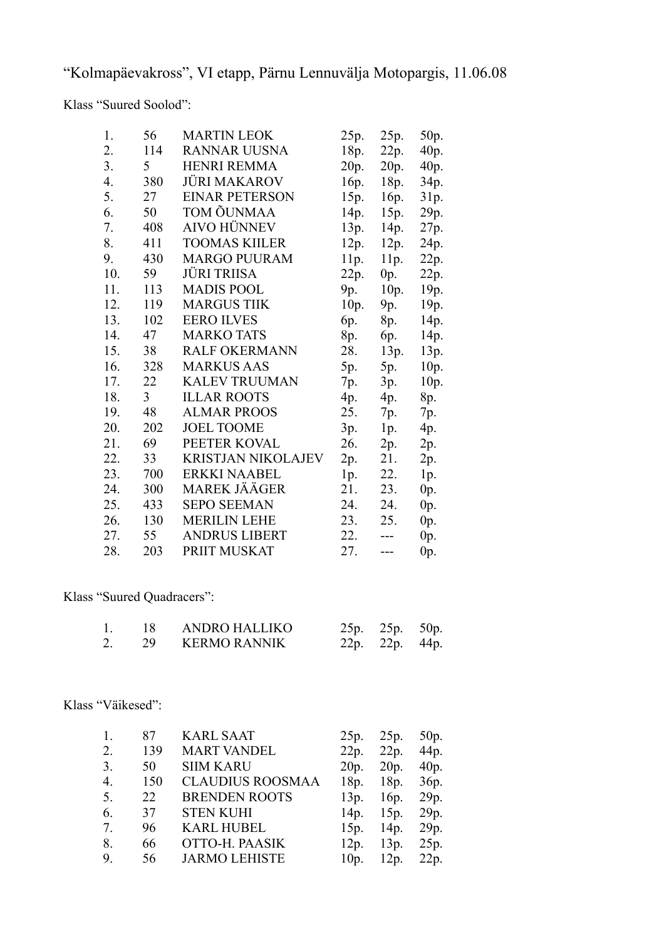"Kolmapäevakross", VI etapp, Pärnu Lennuvälja Motopargis, 11.06.08

Klass "Suured Soolod":

| 1.                   | 56             | <b>MARTIN LEOK</b>        | 25p. | 25p.  | 50p.   |  |
|----------------------|----------------|---------------------------|------|-------|--------|--|
| 2.                   | 114            | <b>RANNAR UUSNA</b>       | 18p. | 22p.  | 40p.   |  |
| 3.                   | 5              | <b>HENRI REMMA</b>        | 20p. | 20p.  | 40p.   |  |
| 4.                   | 380            | JÜRI MAKAROV              | 16p. | 18p.  | 34p.   |  |
| 5.                   | 27             | <b>EINAR PETERSON</b>     | 15p. | 16p.  | 31p.   |  |
| 6.                   | 50             | TOM ÕUNMAA                | 14p. | 15p.  | 29p.   |  |
| 7.                   | 408            | <b>AIVO HÜNNEV</b>        | 13p. | 14p.  | 27p.   |  |
| 8.                   | 411            | <b>TOOMAS KIILER</b>      | 12p. | 12p.  | 24p.   |  |
| 9.                   | 430            | <b>MARGO PUURAM</b>       | 11p. | 11p.  | 22p.   |  |
| 10.                  | 59             | JÜRI TRIISA               | 22p. | 0p.   | 22p.   |  |
| 11.                  | 113            | <b>MADIS POOL</b>         | 9p.  | 10p.  | 19p.   |  |
| 12.                  | 119            | <b>MARGUS TIIK</b>        | 10p. | 9p.   | 19p.   |  |
| 13.                  | 102            | <b>EERO ILVES</b>         | 6p.  | 8p.   | 14p.   |  |
| 14.                  | 47             | <b>MARKO TATS</b>         | 8p.  | 6p.   | 14p.   |  |
| 15.                  | 38             | <b>RALF OKERMANN</b>      | 28.  | 13p.  | 13p.   |  |
| 16.                  | 328            | <b>MARKUS AAS</b>         | 5p.  | 5p.   | 10p.   |  |
| 17.                  | 22             | <b>KALEV TRUUMAN</b>      | 7p.  | 3p.   | 10p.   |  |
| 18.                  | $\mathfrak{Z}$ | <b>ILLAR ROOTS</b>        | 4p.  | 4p.   | 8p.    |  |
| 19.                  | 48             | <b>ALMAR PROOS</b>        | 25.  | 7p.   | 7p.    |  |
| 20.                  | 202            | <b>JOEL TOOME</b>         | 3p.  | 1p.   | 4p.    |  |
| 21.                  | 69             | PEETER KOVAL              | 26.  | 2p.   | 2p.    |  |
| 22.                  | 33             | <b>KRISTJAN NIKOLAJEV</b> | 2p.  | 21.   | 2p.    |  |
| 23.                  | 700            | <b>ERKKI NAABEL</b>       | 1p.  | 22.   | 1p.    |  |
| 24.                  | 300            | <b>MAREK JÄÄGER</b>       | 21.  | 23.   | 0p.    |  |
| 25.                  | 433            | <b>SEPO SEEMAN</b>        | 24.  | 24.   | 0p.    |  |
| 26.                  | 130            | <b>MERILIN LEHE</b>       | 23.  | 25.   | 0p.    |  |
| 27.                  | 55             | <b>ANDRUS LIBERT</b>      | 22.  | $---$ | $0p$ . |  |
| 28.                  | 203            | PRIIT MUSKAT              | 27.  | $---$ | 0p.    |  |
|                      |                |                           |      |       |        |  |
| "Suured Ouadracers": |                |                           |      |       |        |  |

Klass "Suured Qu

| - 18 - | ANDRO HALLIKO   | 25p. 25p. 50p. |  |
|--------|-----------------|----------------|--|
|        | 29 KERMO RANNIK | 22p. 22p. 44p. |  |

Klass "Väikesed":

| 1.               | 87  | <b>KARL SAAT</b>        | 25p.              | 25p.              | 50 <sub>p</sub> . |
|------------------|-----|-------------------------|-------------------|-------------------|-------------------|
| 2.               | 139 | <b>MART VANDEL</b>      | 22p.              | 22p.              | 44p.              |
| 3.               | 50  | <b>SIIM KARU</b>        | 20p.              | 20p.              | 40p.              |
| $\overline{4}$ . | 150 | <b>CLAUDIUS ROOSMAA</b> | 18p.              | 18p.              | 36p.              |
| 5.               | 22  | <b>BRENDEN ROOTS</b>    | 13 <sub>p</sub> . | 16 <sub>p</sub> . | 29p.              |
| 6.               | 37  | <b>STEN KUHI</b>        | 14p.              | 15 <sub>p</sub> . | 29p.              |
| 7.               | 96  | <b>KARL HUBEL</b>       | 15 <sub>p</sub> . | 14p.              | 29p.              |
| 8.               | 66  | OTTO-H. PAASIK          | 12p.              | 13p.              | 25p.              |
| 9.               | 56  | <b>JARMO LEHISTE</b>    | 10 <sub>p</sub>   | 12p.              | 22p.              |